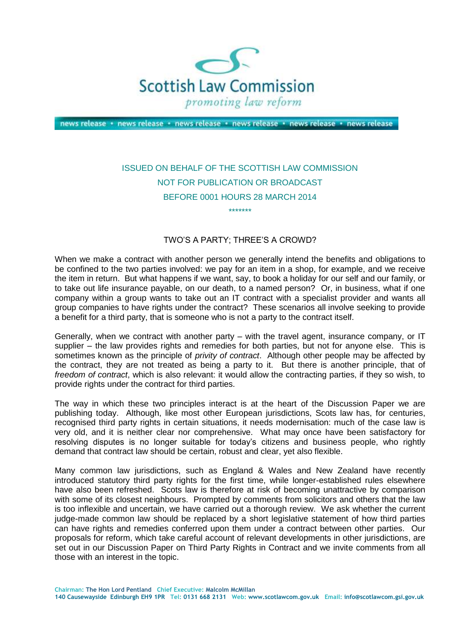

news release · news release · news release · news release · news release · news release

## ISSUED ON BEHALF OF THE SCOTTISH LAW COMMISSION NOT FOR PUBLICATION OR BROADCAST BEFORE 0001 HOURS 28 MARCH 2014 \*\*\*\*\*\*\*

TWO'S A PARTY; THREE'S A CROWD?

 When we make a contract with another person we generally intend the benefits and obligations to be confined to the two parties involved: we pay for an item in a shop, for example, and we receive the item in return. But what happens if we want, say, to book a holiday for our self and our family, or to take out life insurance payable, on our death, to a named person? Or, in business, what if one company within a group wants to take out an IT contract with a specialist provider and wants all group companies to have rights under the contract? These scenarios all involve seeking to provide a benefit for a third party, that is someone who is not a party to the contract itself.

 Generally, when we contract with another party – with the travel agent, insurance company, or IT supplier – the law provides rights and remedies for both parties, but not for anyone else. This is sometimes known as the principle of *privity of contract*. Although other people may be affected by the contract, they are not treated as being a party to it. But there is another principle, that of  *freedom of contract*, which is also relevant: it would allow the contracting parties, if they so wish, to provide rights under the contract for third parties.

 The way in which these two principles interact is at the heart of the Discussion Paper we are publishing today. Although, like most other European jurisdictions, Scots law has, for centuries, recognised third party rights in certain situations, it needs modernisation: much of the case law is very old, and it is neither clear nor comprehensive. What may once have been satisfactory for resolving disputes is no longer suitable for today's citizens and business people, who rightly demand that contract law should be certain, robust and clear, yet also flexible.

 Many common law jurisdictions, such as England & Wales and New Zealand have recently introduced statutory third party rights for the first time, while longer-established rules elsewhere have also been refreshed. Scots law is therefore at risk of becoming unattractive by comparison with some of its closest neighbours. Prompted by comments from solicitors and others that the law is too inflexible and uncertain, we have carried out a thorough review. We ask whether the current judge-made common law should be replaced by a short legislative statement of how third parties can have rights and remedies conferred upon them under a contract between other parties. Our proposals for reform, which take careful account of relevant developments in other jurisdictions, are set out in our Discussion Paper on Third Party Rights in Contract and we invite comments from all those with an interest in the topic.

**Chairman: The Hon Lord Pentland Chief Executive: Malcolm McMillan** 

 **140 Causewayside Edinburgh EH9 1PR Tel: 0131 668 2131 Web: www.scotlawcom.gov.uk Email: info@scotlawcom.gsi.gov.uk**